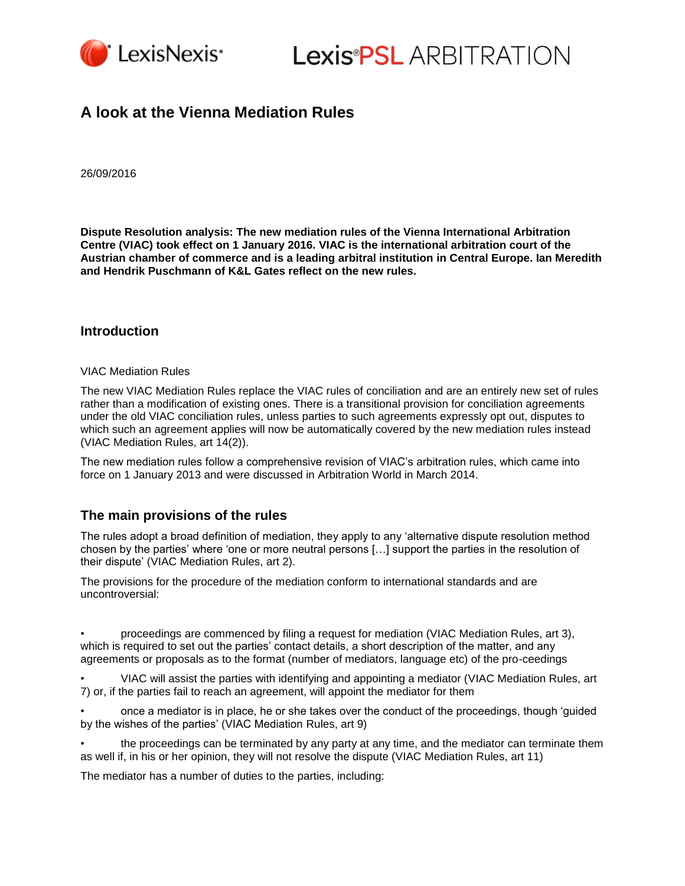

**Lexis®PSL ARBITRATION** 

## **A look at the Vienna Mediation Rules**

26/09/2016

**Dispute Resolution analysis: The new mediation rules of the Vienna International Arbitration Centre (VIAC) took effect on 1 January 2016. VIAC is the international arbitration court of the Austrian chamber of commerce and is a leading arbitral institution in Central Europe. Ian Meredith and Hendrik Puschmann of K&L Gates reflect on the new rules.**

#### **Introduction**

#### VIAC Mediation Rules

The new VIAC Mediation Rules replace the VIAC rules of conciliation and are an entirely new set of rules rather than a modification of existing ones. There is a transitional provision for conciliation agreements under the old VIAC conciliation rules, unless parties to such agreements expressly opt out, disputes to which such an agreement applies will now be automatically covered by the new mediation rules instead (VIAC Mediation Rules, art 14(2)).

The new mediation rules follow a comprehensive revision of VIAC's arbitration rules, which came into force on 1 January 2013 and were discussed in Arbitration World in March 2014.

### **The main provisions of the rules**

The rules adopt a broad definition of mediation, they apply to any 'alternative dispute resolution method chosen by the parties' where 'one or more neutral persons […] support the parties in the resolution of their dispute' (VIAC Mediation Rules, art 2).

The provisions for the procedure of the mediation conform to international standards and are uncontroversial:

• proceedings are commenced by filing a request for mediation (VIAC Mediation Rules, art 3), which is required to set out the parties' contact details, a short description of the matter, and any agreements or proposals as to the format (number of mediators, language etc) of the pro-ceedings

• VIAC will assist the parties with identifying and appointing a mediator (VIAC Mediation Rules, art 7) or, if the parties fail to reach an agreement, will appoint the mediator for them

• once a mediator is in place, he or she takes over the conduct of the proceedings, though 'guided by the wishes of the parties' (VIAC Mediation Rules, art 9)

• the proceedings can be terminated by any party at any time, and the mediator can terminate them as well if, in his or her opinion, they will not resolve the dispute (VIAC Mediation Rules, art 11)

The mediator has a number of duties to the parties, including: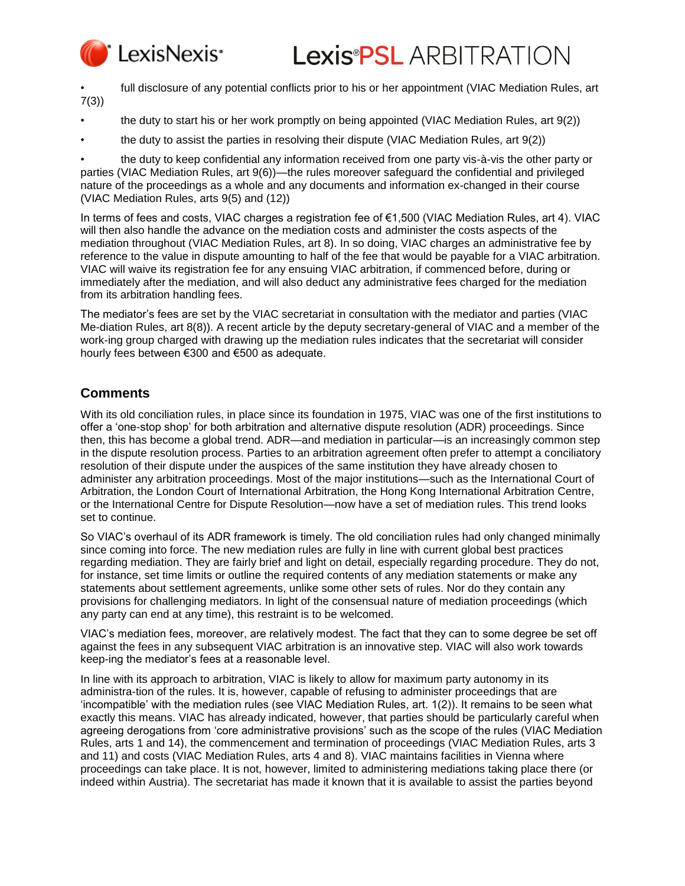

• full disclosure of any potential conflicts prior to his or her appointment (VIAC Mediation Rules, art 7(3))

- the duty to start his or her work promptly on being appointed (VIAC Mediation Rules, art 9(2))
- the duty to assist the parties in resolving their dispute (VIAC Mediation Rules, art 9(2))

• the duty to keep confidential any information received from one party vis-à-vis the other party or parties (VIAC Mediation Rules, art 9(6))—the rules moreover safeguard the confidential and privileged nature of the proceedings as a whole and any documents and information ex-changed in their course (VIAC Mediation Rules, arts 9(5) and (12))

In terms of fees and costs, VIAC charges a registration fee of €1,500 (VIAC Mediation Rules, art 4). VIAC will then also handle the advance on the mediation costs and administer the costs aspects of the mediation throughout (VIAC Mediation Rules, art 8). In so doing, VIAC charges an administrative fee by reference to the value in dispute amounting to half of the fee that would be payable for a VIAC arbitration. VIAC will waive its registration fee for any ensuing VIAC arbitration, if commenced before, during or immediately after the mediation, and will also deduct any administrative fees charged for the mediation from its arbitration handling fees.

The mediator's fees are set by the VIAC secretariat in consultation with the mediator and parties (VIAC Me-diation Rules, art 8(8)). A recent article by the deputy secretary-general of VIAC and a member of the work-ing group charged with drawing up the mediation rules indicates that the secretariat will consider hourly fees between €300 and €500 as adequate.

## **Comments**

With its old conciliation rules, in place since its foundation in 1975, VIAC was one of the first institutions to offer a 'one-stop shop' for both arbitration and alternative dispute resolution (ADR) proceedings. Since then, this has become a global trend. ADR—and mediation in particular—is an increasingly common step in the dispute resolution process. Parties to an arbitration agreement often prefer to attempt a conciliatory resolution of their dispute under the auspices of the same institution they have already chosen to administer any arbitration proceedings. Most of the major institutions—such as the International Court of Arbitration, the London Court of International Arbitration, the Hong Kong International Arbitration Centre, or the International Centre for Dispute Resolution—now have a set of mediation rules. This trend looks set to continue.

So VIAC's overhaul of its ADR framework is timely. The old conciliation rules had only changed minimally since coming into force. The new mediation rules are fully in line with current global best practices regarding mediation. They are fairly brief and light on detail, especially regarding procedure. They do not, for instance, set time limits or outline the required contents of any mediation statements or make any statements about settlement agreements, unlike some other sets of rules. Nor do they contain any provisions for challenging mediators. In light of the consensual nature of mediation proceedings (which any party can end at any time), this restraint is to be welcomed.

VIAC's mediation fees, moreover, are relatively modest. The fact that they can to some degree be set off against the fees in any subsequent VIAC arbitration is an innovative step. VIAC will also work towards keep-ing the mediator's fees at a reasonable level.

In line with its approach to arbitration, VIAC is likely to allow for maximum party autonomy in its administra-tion of the rules. It is, however, capable of refusing to administer proceedings that are 'incompatible' with the mediation rules (see VIAC Mediation Rules, art. 1(2)). It remains to be seen what exactly this means. VIAC has already indicated, however, that parties should be particularly careful when agreeing derogations from 'core administrative provisions' such as the scope of the rules (VIAC Mediation Rules, arts 1 and 14), the commencement and termination of proceedings (VIAC Mediation Rules, arts 3 and 11) and costs (VIAC Mediation Rules, arts 4 and 8). VIAC maintains facilities in Vienna where proceedings can take place. It is not, however, limited to administering mediations taking place there (or indeed within Austria). The secretariat has made it known that it is available to assist the parties beyond